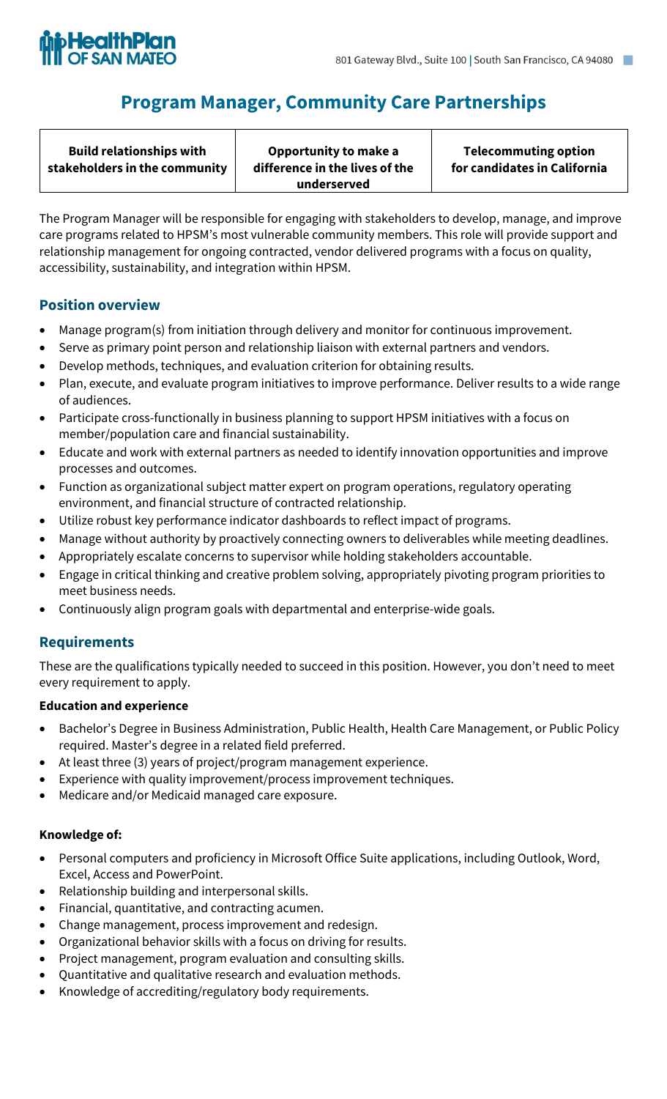

# **Program Manager, Community Care Partnerships**

The Program Manager will be responsible for engaging with stakeholders to develop, manage, and improve care programs related to HPSM's most vulnerable community members. This role will provide support and relationship management for ongoing contracted, vendor delivered programs with a focus on quality, accessibility, sustainability, and integration within HPSM.

# **Position overview**

- Manage program(s) from initiation through delivery and monitor for continuous improvement.
- Serve as primary point person and relationship liaison with external partners and vendors.
- Develop methods, techniques, and evaluation criterion for obtaining results.
- Plan, execute, and evaluate program initiatives to improve performance. Deliver results to a wide range of audiences.
- Participate cross-functionally in business planning to support HPSM initiatives with a focus on member/population care and financial sustainability.
- Educate and work with external partners as needed to identify innovation opportunities and improve processes and outcomes.
- Function as organizational subject matter expert on program operations, regulatory operating environment, and financial structure of contracted relationship.
- Utilize robust key performance indicator dashboards to reflect impact of programs.
- Manage without authority by proactively connecting owners to deliverables while meeting deadlines.
- Appropriately escalate concerns to supervisor while holding stakeholders accountable.
- Engage in critical thinking and creative problem solving, appropriately pivoting program priorities to meet business needs.
- Continuously align program goals with departmental and enterprise-wide goals.

# **Requirements**

These are the qualifications typically needed to succeed in this position. However, you don't need to meet every requirement to apply.

### **Education and experience**

- Bachelor's Degree in Business Administration, Public Health, Health Care Management, or Public Policy required. Master's degree in a related field preferred.
- At least three (3) years of project/program management experience.
- Experience with quality improvement/process improvement techniques.
- Medicare and/or Medicaid managed care exposure.

### **Knowledge of:**

- Personal computers and proficiency in Microsoft Office Suite applications, including Outlook, Word, Excel, Access and PowerPoint.
- Relationship building and interpersonal skills.
- Financial, quantitative, and contracting acumen.
- Change management, process improvement and redesign.
- Organizational behavior skills with a focus on driving for results.
- Project management, program evaluation and consulting skills.
- Quantitative and qualitative research and evaluation methods.
- Knowledge of accrediting/regulatory body requirements.